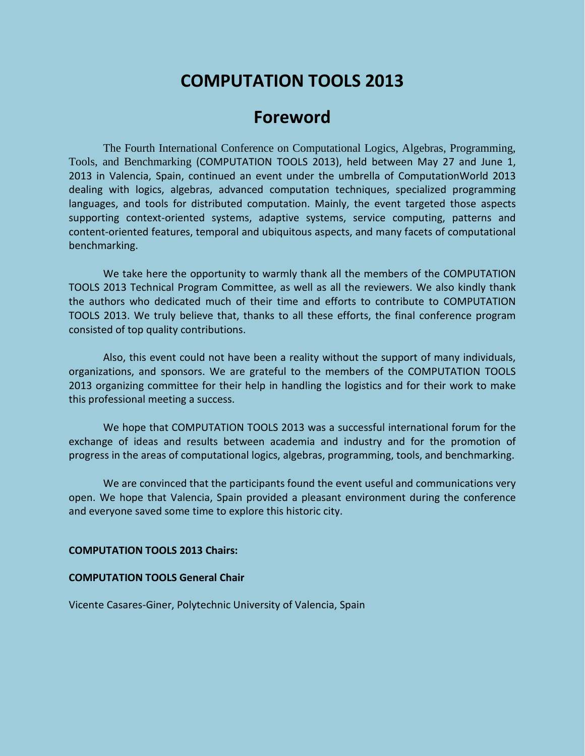# **COMPUTATION TOOLS 2013**

# **Foreword**

The Fourth International Conference on Computational Logics, Algebras, Programming, Tools, and Benchmarking (COMPUTATION TOOLS 2013), held between May 27 and June 1, 2013 in Valencia, Spain, continued an event under the umbrella of ComputationWorld 2013 dealing with logics, algebras, advanced computation techniques, specialized programming languages, and tools for distributed computation. Mainly, the event targeted those aspects supporting context-oriented systems, adaptive systems, service computing, patterns and content-oriented features, temporal and ubiquitous aspects, and many facets of computational benchmarking.

We take here the opportunity to warmly thank all the members of the COMPUTATION TOOLS 2013 Technical Program Committee, as well as all the reviewers. We also kindly thank the authors who dedicated much of their time and efforts to contribute to COMPUTATION TOOLS 2013. We truly believe that, thanks to all these efforts, the final conference program consisted of top quality contributions.

Also, this event could not have been a reality without the support of many individuals, organizations, and sponsors. We are grateful to the members of the COMPUTATION TOOLS 2013 organizing committee for their help in handling the logistics and for their work to make this professional meeting a success.

We hope that COMPUTATION TOOLS 2013 was a successful international forum for the exchange of ideas and results between academia and industry and for the promotion of progress in the areas of computational logics, algebras, programming, tools, and benchmarking.

We are convinced that the participants found the event useful and communications very open. We hope that Valencia, Spain provided a pleasant environment during the conference and everyone saved some time to explore this historic city.

#### **COMPUTATION TOOLS 2013 Chairs:**

#### **COMPUTATION TOOLS General Chair**

Vicente Casares-Giner, Polytechnic University of Valencia, Spain